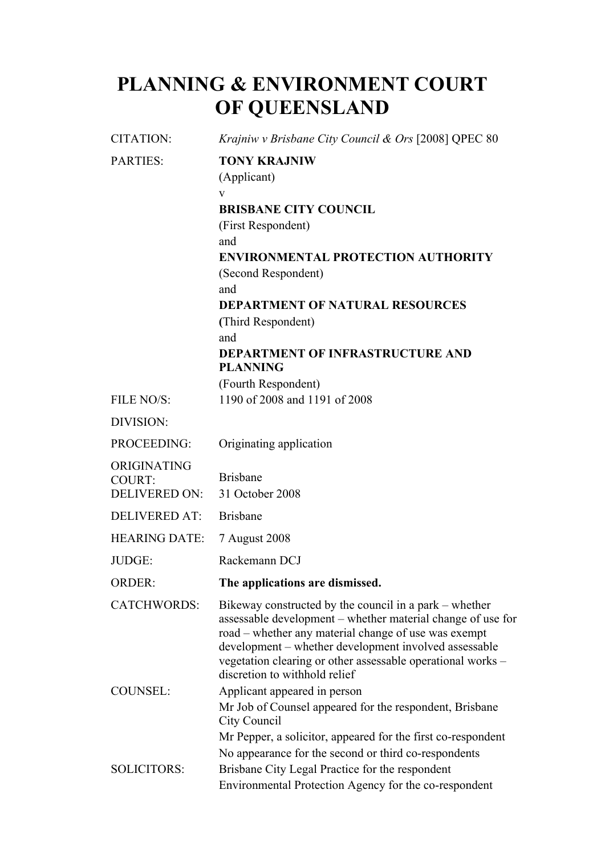## **PLANNING & ENVIRONMENT COURT OF QUEENSLAND**

| <b>CITATION:</b>     | Krajniw v Brisbane City Council & Ors [2008] QPEC 80                                                                                                                                                                                                                                                                                   |
|----------------------|----------------------------------------------------------------------------------------------------------------------------------------------------------------------------------------------------------------------------------------------------------------------------------------------------------------------------------------|
| <b>PARTIES:</b>      | <b>TONY KRAJNIW</b>                                                                                                                                                                                                                                                                                                                    |
|                      | (Applicant)                                                                                                                                                                                                                                                                                                                            |
|                      | V                                                                                                                                                                                                                                                                                                                                      |
|                      | <b>BRISBANE CITY COUNCIL</b>                                                                                                                                                                                                                                                                                                           |
|                      | (First Respondent)<br>and                                                                                                                                                                                                                                                                                                              |
|                      | <b>ENVIRONMENTAL PROTECTION AUTHORITY</b>                                                                                                                                                                                                                                                                                              |
|                      | (Second Respondent)                                                                                                                                                                                                                                                                                                                    |
|                      | and                                                                                                                                                                                                                                                                                                                                    |
|                      | <b>DEPARTMENT OF NATURAL RESOURCES</b>                                                                                                                                                                                                                                                                                                 |
|                      | (Third Respondent)                                                                                                                                                                                                                                                                                                                     |
|                      | and                                                                                                                                                                                                                                                                                                                                    |
|                      | <b>DEPARTMENT OF INFRASTRUCTURE AND</b><br><b>PLANNING</b>                                                                                                                                                                                                                                                                             |
|                      | (Fourth Respondent)                                                                                                                                                                                                                                                                                                                    |
| FILE NO/S:           | 1190 of 2008 and 1191 of 2008                                                                                                                                                                                                                                                                                                          |
| DIVISION:            |                                                                                                                                                                                                                                                                                                                                        |
| PROCEEDING:          | Originating application                                                                                                                                                                                                                                                                                                                |
| ORIGINATING          |                                                                                                                                                                                                                                                                                                                                        |
| <b>COURT:</b>        | <b>Brisbane</b>                                                                                                                                                                                                                                                                                                                        |
| <b>DELIVERED ON:</b> | 31 October 2008                                                                                                                                                                                                                                                                                                                        |
| <b>DELIVERED AT:</b> | <b>Brisbane</b>                                                                                                                                                                                                                                                                                                                        |
| <b>HEARING DATE:</b> | 7 August 2008                                                                                                                                                                                                                                                                                                                          |
| JUDGE:               | Rackemann DCJ                                                                                                                                                                                                                                                                                                                          |
| <b>ORDER:</b>        | The applications are dismissed.                                                                                                                                                                                                                                                                                                        |
| <b>CATCHWORDS:</b>   | Bikeway constructed by the council in a park – whether<br>assessable development – whether material change of use for<br>road – whether any material change of use was exempt<br>development – whether development involved assessable<br>vegetation clearing or other assessable operational works -<br>discretion to withhold relief |
| <b>COUNSEL:</b>      | Applicant appeared in person                                                                                                                                                                                                                                                                                                           |
|                      | Mr Job of Counsel appeared for the respondent, Brisbane<br>City Council                                                                                                                                                                                                                                                                |
|                      | Mr Pepper, a solicitor, appeared for the first co-respondent                                                                                                                                                                                                                                                                           |
|                      | No appearance for the second or third co-respondents                                                                                                                                                                                                                                                                                   |
| <b>SOLICITORS:</b>   | Brisbane City Legal Practice for the respondent                                                                                                                                                                                                                                                                                        |
|                      | Environmental Protection Agency for the co-respondent                                                                                                                                                                                                                                                                                  |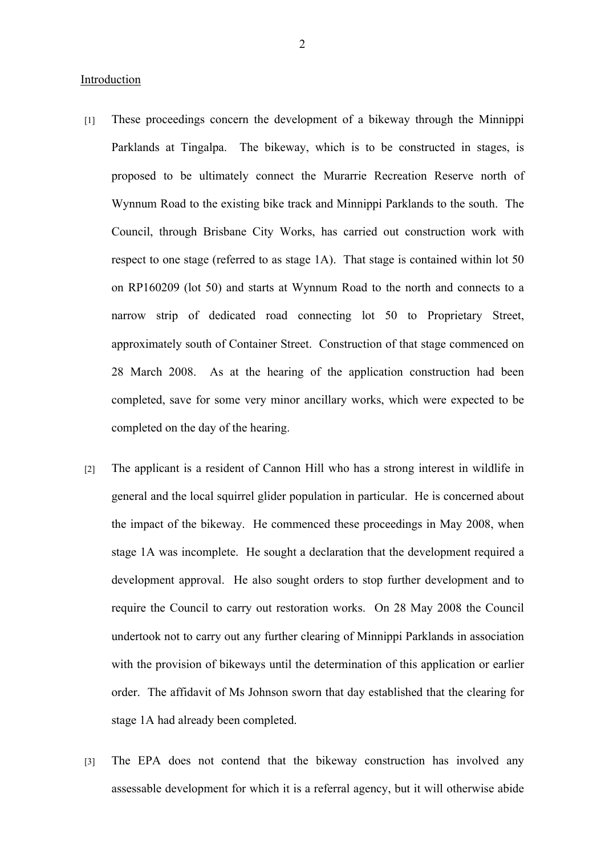- [1] These proceedings concern the development of a bikeway through the Minnippi Parklands at Tingalpa. The bikeway, which is to be constructed in stages, is proposed to be ultimately connect the Murarrie Recreation Reserve north of Wynnum Road to the existing bike track and Minnippi Parklands to the south. The Council, through Brisbane City Works, has carried out construction work with respect to one stage (referred to as stage 1A). That stage is contained within lot 50 on RP160209 (lot 50) and starts at Wynnum Road to the north and connects to a narrow strip of dedicated road connecting lot 50 to Proprietary Street, approximately south of Container Street. Construction of that stage commenced on 28 March 2008. As at the hearing of the application construction had been completed, save for some very minor ancillary works, which were expected to be completed on the day of the hearing.
- [2] The applicant is a resident of Cannon Hill who has a strong interest in wildlife in general and the local squirrel glider population in particular. He is concerned about the impact of the bikeway. He commenced these proceedings in May 2008, when stage 1A was incomplete. He sought a declaration that the development required a development approval. He also sought orders to stop further development and to require the Council to carry out restoration works. On 28 May 2008 the Council undertook not to carry out any further clearing of Minnippi Parklands in association with the provision of bikeways until the determination of this application or earlier order. The affidavit of Ms Johnson sworn that day established that the clearing for stage 1A had already been completed.
- [3] The EPA does not contend that the bikeway construction has involved any assessable development for which it is a referral agency, but it will otherwise abide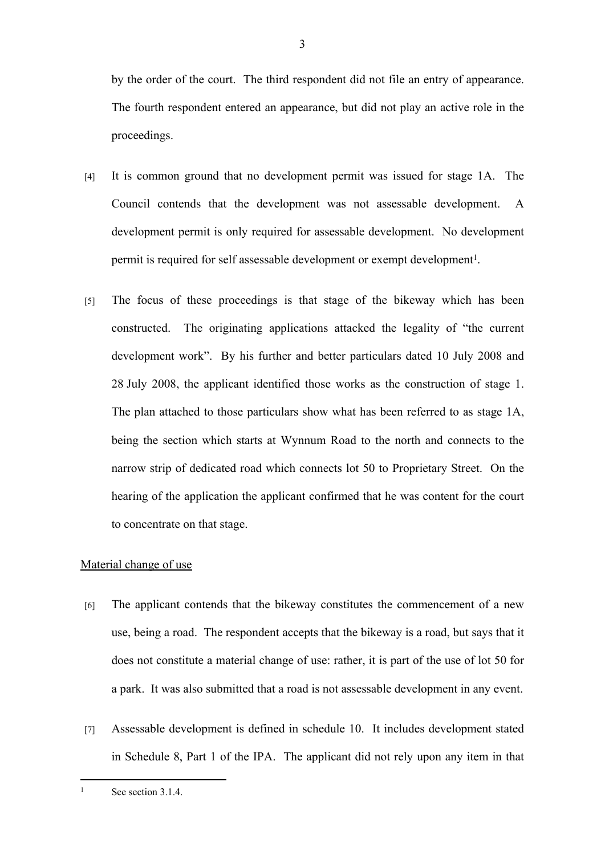by the order of the court. The third respondent did not file an entry of appearance. The fourth respondent entered an appearance, but did not play an active role in the proceedings.

- [4] It is common ground that no development permit was issued for stage 1A. The Council contends that the development was not assessable development. A development permit is only required for assessable development. No development permit is required for self assessable development or exempt development<sup>1</sup>.
- [5] The focus of these proceedings is that stage of the bikeway which has been constructed. The originating applications attacked the legality of "the current development work". By his further and better particulars dated 10 July 2008 and 28 July 2008, the applicant identified those works as the construction of stage 1. The plan attached to those particulars show what has been referred to as stage 1A, being the section which starts at Wynnum Road to the north and connects to the narrow strip of dedicated road which connects lot 50 to Proprietary Street. On the hearing of the application the applicant confirmed that he was content for the court to concentrate on that stage.

## Material change of use

- [6] The applicant contends that the bikeway constitutes the commencement of a new use, being a road. The respondent accepts that the bikeway is a road, but says that it does not constitute a material change of use: rather, it is part of the use of lot 50 for a park. It was also submitted that a road is not assessable development in any event.
- [7] Assessable development is defined in schedule 10. It includes development stated in Schedule 8, Part 1 of the IPA. The applicant did not rely upon any item in that

3

<sup>1</sup> See section 3.1.4.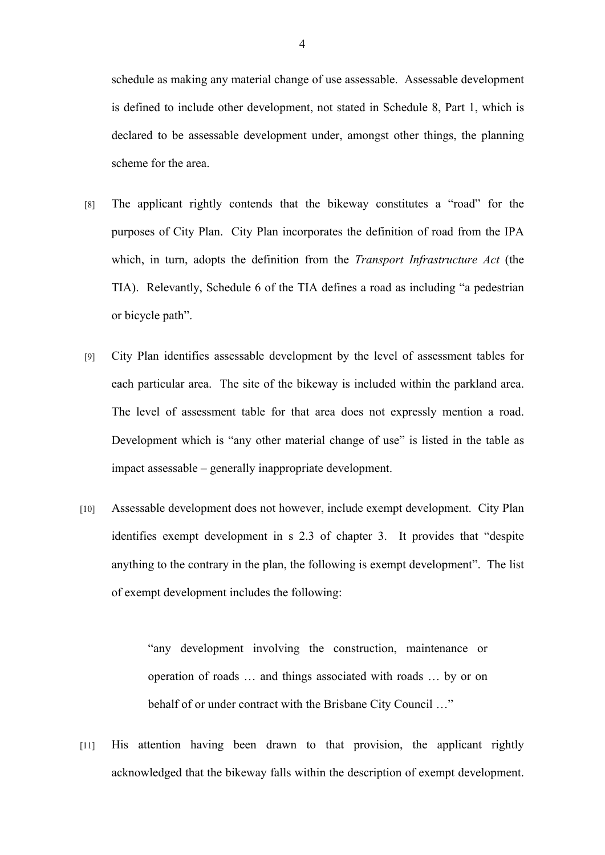schedule as making any material change of use assessable. Assessable development is defined to include other development, not stated in Schedule 8, Part 1, which is declared to be assessable development under, amongst other things, the planning scheme for the area.

- [8] The applicant rightly contends that the bikeway constitutes a "road" for the purposes of City Plan. City Plan incorporates the definition of road from the IPA which, in turn, adopts the definition from the *Transport Infrastructure Act* (the TIA). Relevantly, Schedule 6 of the TIA defines a road as including "a pedestrian or bicycle path".
- [9] City Plan identifies assessable development by the level of assessment tables for each particular area. The site of the bikeway is included within the parkland area. The level of assessment table for that area does not expressly mention a road. Development which is "any other material change of use" is listed in the table as impact assessable – generally inappropriate development.
- [10] Assessable development does not however, include exempt development. City Plan identifies exempt development in s 2.3 of chapter 3. It provides that "despite anything to the contrary in the plan, the following is exempt development". The list of exempt development includes the following:

"any development involving the construction, maintenance or operation of roads … and things associated with roads … by or on behalf of or under contract with the Brisbane City Council …"

[11] His attention having been drawn to that provision, the applicant rightly acknowledged that the bikeway falls within the description of exempt development.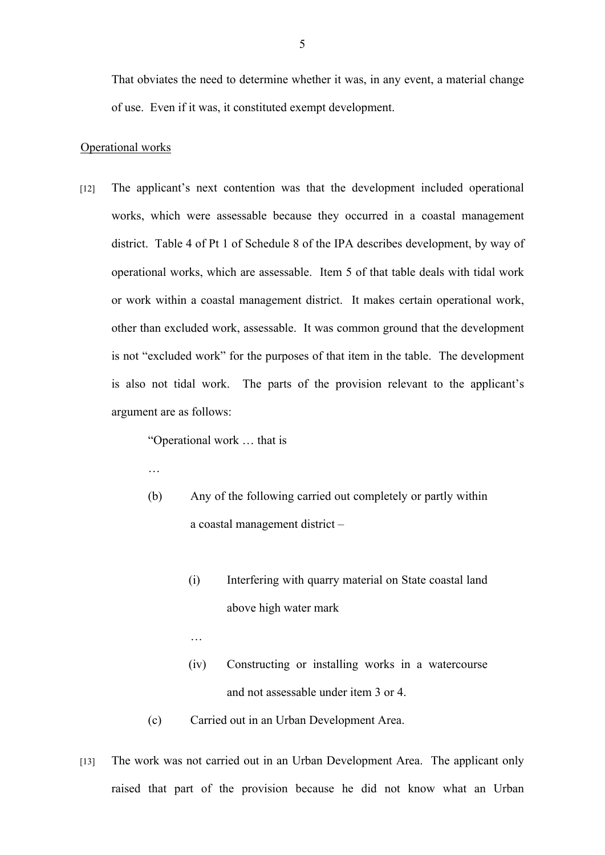That obviates the need to determine whether it was, in any event, a material change of use. Even if it was, it constituted exempt development.

## Operational works

[12] The applicant's next contention was that the development included operational works, which were assessable because they occurred in a coastal management district. Table 4 of Pt 1 of Schedule 8 of the IPA describes development, by way of operational works, which are assessable. Item 5 of that table deals with tidal work or work within a coastal management district. It makes certain operational work, other than excluded work, assessable. It was common ground that the development is not "excluded work" for the purposes of that item in the table. The development is also not tidal work. The parts of the provision relevant to the applicant's argument are as follows:

"Operational work … that is

…

- …
- (b) Any of the following carried out completely or partly within a coastal management district –
	- (i) Interfering with quarry material on State coastal land above high water mark
	- (iv) Constructing or installing works in a watercourse and not assessable under item 3 or 4.
- (c) Carried out in an Urban Development Area.
- [13] The work was not carried out in an Urban Development Area. The applicant only raised that part of the provision because he did not know what an Urban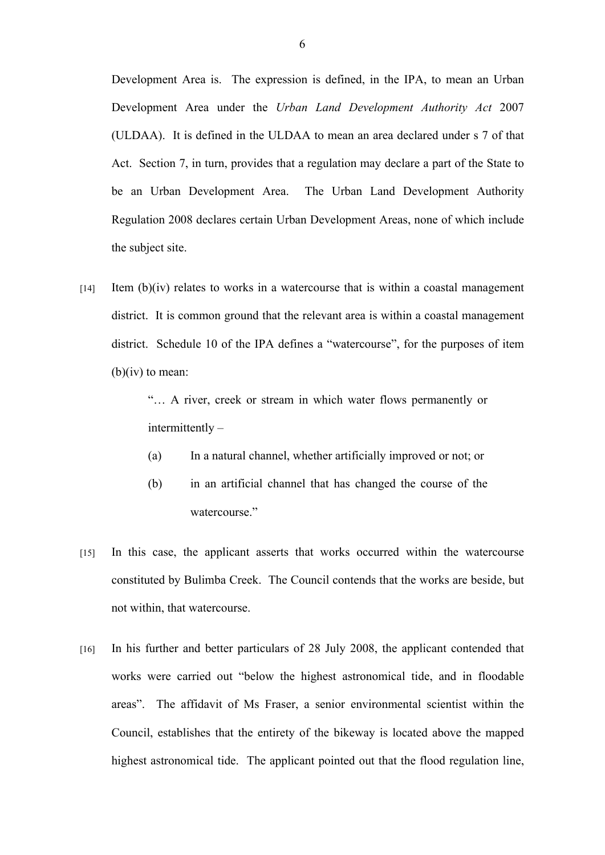Development Area is. The expression is defined, in the IPA, to mean an Urban Development Area under the *Urban Land Development Authority Act* 2007 (ULDAA). It is defined in the ULDAA to mean an area declared under s 7 of that Act. Section 7, in turn, provides that a regulation may declare a part of the State to be an Urban Development Area. The Urban Land Development Authority Regulation 2008 declares certain Urban Development Areas, none of which include the subject site.

 $[14]$  Item (b)(iv) relates to works in a watercourse that is within a coastal management district. It is common ground that the relevant area is within a coastal management district. Schedule 10 of the IPA defines a "watercourse", for the purposes of item  $(b)(iv)$  to mean:

> "… A river, creek or stream in which water flows permanently or intermittently –

- (a) In a natural channel, whether artificially improved or not; or
- (b) in an artificial channel that has changed the course of the watercourse."
- [15] In this case, the applicant asserts that works occurred within the watercourse constituted by Bulimba Creek. The Council contends that the works are beside, but not within, that watercourse.
- [16] In his further and better particulars of 28 July 2008, the applicant contended that works were carried out "below the highest astronomical tide, and in floodable areas". The affidavit of Ms Fraser, a senior environmental scientist within the Council, establishes that the entirety of the bikeway is located above the mapped highest astronomical tide. The applicant pointed out that the flood regulation line,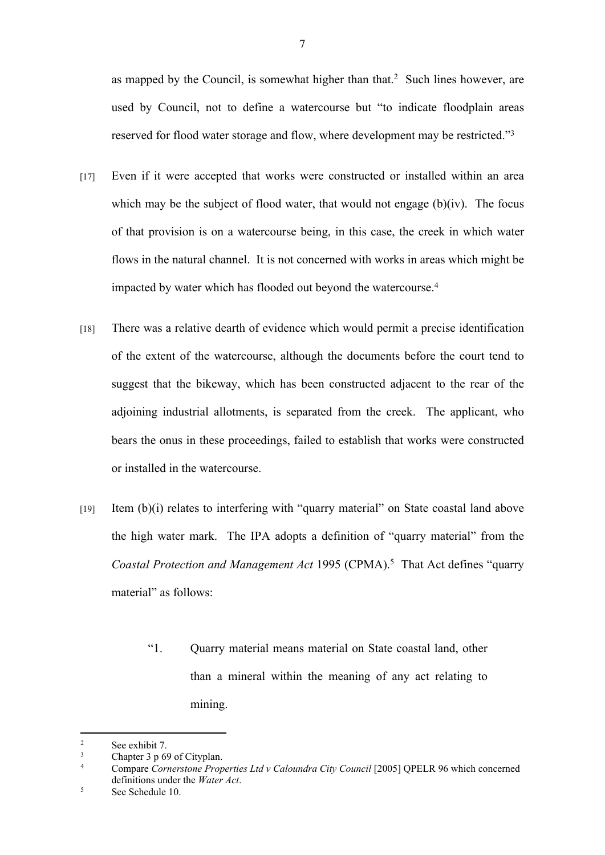as mapped by the Council, is somewhat higher than that.<sup>2</sup> Such lines however, are used by Council, not to define a watercourse but "to indicate floodplain areas reserved for flood water storage and flow, where development may be restricted."<sup>3</sup>

- [17] Even if it were accepted that works were constructed or installed within an area which may be the subject of flood water, that would not engage  $(b)(iv)$ . The focus of that provision is on a watercourse being, in this case, the creek in which water flows in the natural channel. It is not concerned with works in areas which might be impacted by water which has flooded out beyond the watercourse.<sup>4</sup>
- [18] There was a relative dearth of evidence which would permit a precise identification of the extent of the watercourse, although the documents before the court tend to suggest that the bikeway, which has been constructed adjacent to the rear of the adjoining industrial allotments, is separated from the creek. The applicant, who bears the onus in these proceedings, failed to establish that works were constructed or installed in the watercourse.
- [19] Item (b)(i) relates to interfering with "quarry material" on State coastal land above the high water mark. The IPA adopts a definition of "quarry material" from the Coastal Protection and Management Act 1995 (CPMA).<sup>5</sup> That Act defines "quarry material" as follows:
	- "1. Quarry material means material on State coastal land, other than a mineral within the meaning of any act relating to mining.

7

 $\gamma$ See exhibit 7.

<sup>3</sup> Chapter 3 p 69 of Cityplan.

<sup>4</sup> Compare *Cornerstone Properties Ltd v Caloundra City Council* [2005] QPELR 96 which concerned definitions under the *Water Act*.

<sup>5</sup> See Schedule 10.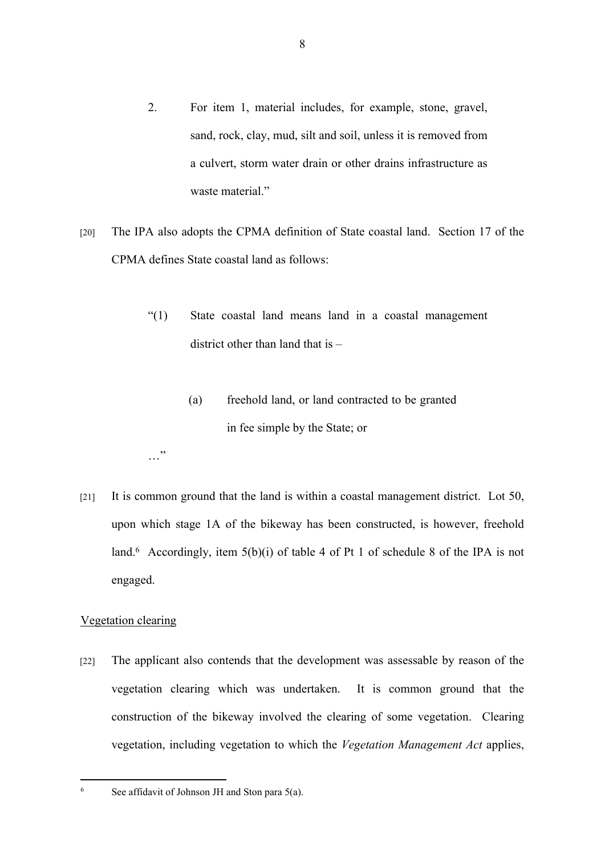- 2. For item 1, material includes, for example, stone, gravel, sand, rock, clay, mud, silt and soil, unless it is removed from a culvert, storm water drain or other drains infrastructure as waste material."
- [20] The IPA also adopts the CPMA definition of State coastal land. Section 17 of the CPMA defines State coastal land as follows:
	- "(1) State coastal land means land in a coastal management district other than land that is –
		- (a) freehold land, or land contracted to be granted in fee simple by the State; or
- [21] It is common ground that the land is within a coastal management district. Lot 50, upon which stage 1A of the bikeway has been constructed, is however, freehold land.<sup>6</sup> Accordingly, item 5(b)(i) of table 4 of Pt 1 of schedule 8 of the IPA is not engaged.

## Vegetation clearing

6

 $\cdots$ 

[22] The applicant also contends that the development was assessable by reason of the vegetation clearing which was undertaken. It is common ground that the construction of the bikeway involved the clearing of some vegetation. Clearing vegetation, including vegetation to which the *Vegetation Management Act* applies,

See affidavit of Johnson JH and Ston para 5(a).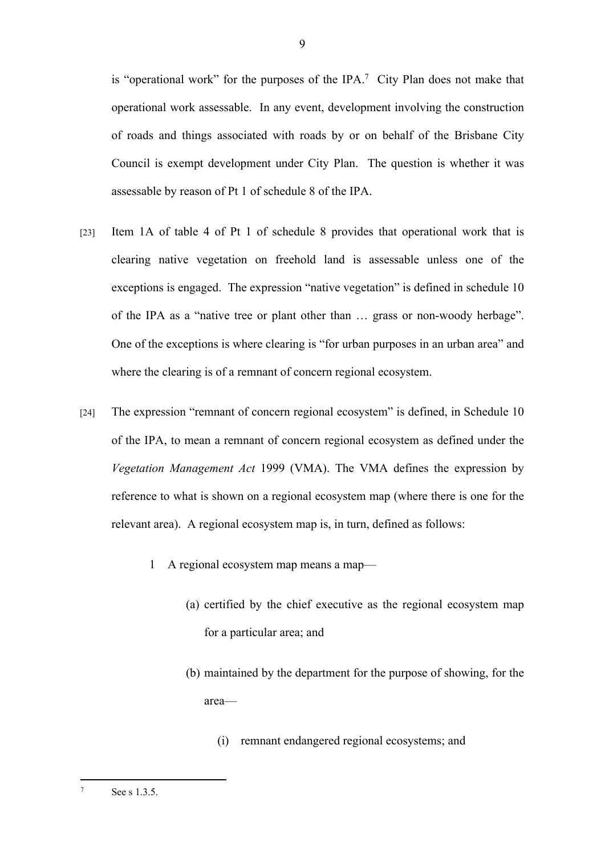is "operational work" for the purposes of the IPA.<sup>7</sup> City Plan does not make that operational work assessable. In any event, development involving the construction of roads and things associated with roads by or on behalf of the Brisbane City Council is exempt development under City Plan. The question is whether it was assessable by reason of Pt 1 of schedule 8 of the IPA.

- [23] Item 1A of table 4 of Pt 1 of schedule 8 provides that operational work that is clearing native vegetation on freehold land is assessable unless one of the exceptions is engaged. The expression "native vegetation" is defined in schedule 10 of the IPA as a "native tree or plant other than … grass or non-woody herbage". One of the exceptions is where clearing is "for urban purposes in an urban area" and where the clearing is of a remnant of concern regional ecosystem.
- [24] The expression "remnant of concern regional ecosystem" is defined, in Schedule 10 of the IPA, to mean a remnant of concern regional ecosystem as defined under the *Vegetation Management Act* 1999 (VMA). The VMA defines the expression by reference to what is shown on a regional ecosystem map (where there is one for the relevant area). A regional ecosystem map is, in turn, defined as follows:
	- 1 A regional ecosystem map means a map—
		- (a) certified by the chief executive as the regional ecosystem map for a particular area; and
		- (b) maintained by the department for the purpose of showing, for the area—
			- (i) remnant endangered regional ecosystems; and

<sup>7</sup> See s 1.3.5.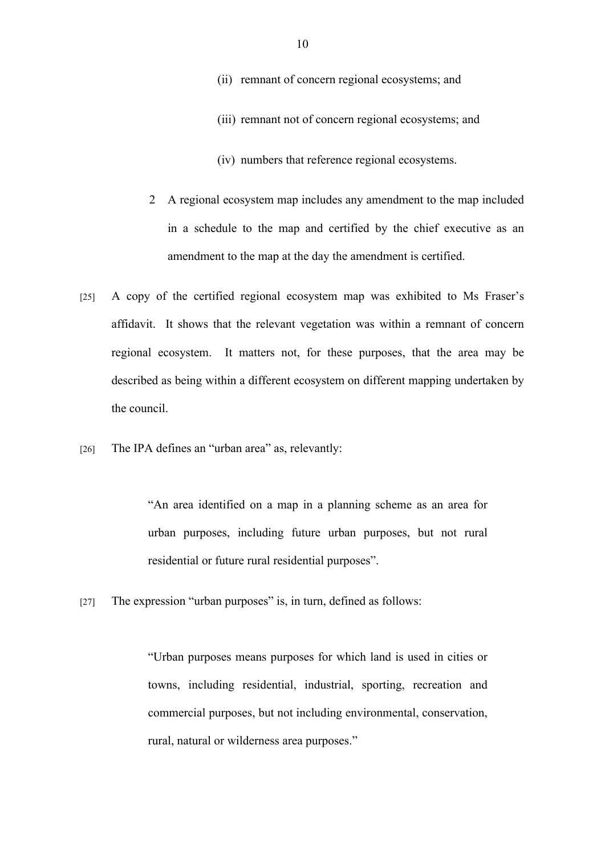- (ii) remnant of concern regional ecosystems; and
- (iii) remnant not of concern regional ecosystems; and
- (iv) numbers that reference regional ecosystems.
- 2 A regional ecosystem map includes any amendment to the map included in a schedule to the map and certified by the chief executive as an amendment to the map at the day the amendment is certified.
- [25] A copy of the certified regional ecosystem map was exhibited to Ms Fraser's affidavit. It shows that the relevant vegetation was within a remnant of concern regional ecosystem. It matters not, for these purposes, that the area may be described as being within a different ecosystem on different mapping undertaken by the council.
- [26] The IPA defines an "urban area" as, relevantly:

"An area identified on a map in a planning scheme as an area for urban purposes, including future urban purposes, but not rural residential or future rural residential purposes".

[27] The expression "urban purposes" is, in turn, defined as follows:

"Urban purposes means purposes for which land is used in cities or towns, including residential, industrial, sporting, recreation and commercial purposes, but not including environmental, conservation, rural, natural or wilderness area purposes."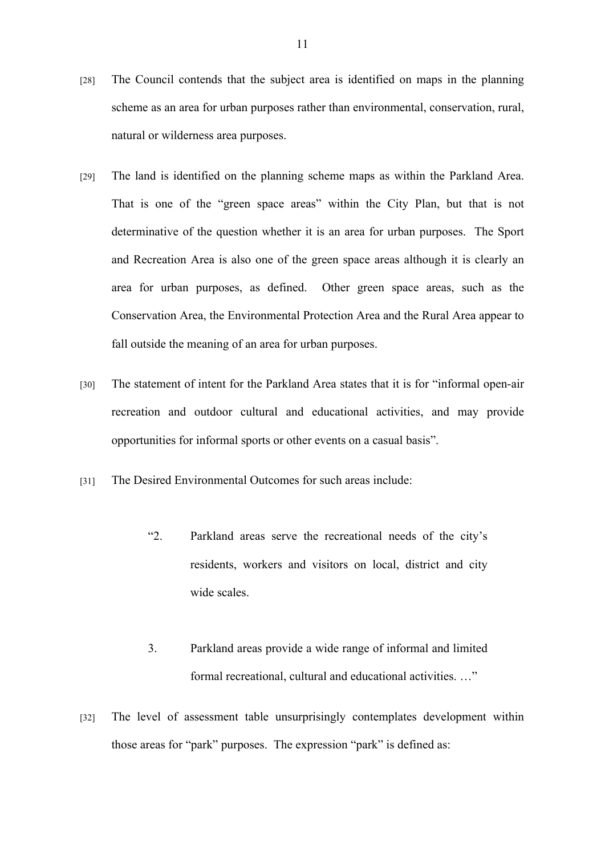- [28] The Council contends that the subject area is identified on maps in the planning scheme as an area for urban purposes rather than environmental, conservation, rural, natural or wilderness area purposes.
- [29] The land is identified on the planning scheme maps as within the Parkland Area. That is one of the "green space areas" within the City Plan, but that is not determinative of the question whether it is an area for urban purposes. The Sport and Recreation Area is also one of the green space areas although it is clearly an area for urban purposes, as defined. Other green space areas, such as the Conservation Area, the Environmental Protection Area and the Rural Area appear to fall outside the meaning of an area for urban purposes.
- [30] The statement of intent for the Parkland Area states that it is for "informal open-air recreation and outdoor cultural and educational activities, and may provide opportunities for informal sports or other events on a casual basis".
- [31] The Desired Environmental Outcomes for such areas include:
	- "2. Parkland areas serve the recreational needs of the city's residents, workers and visitors on local, district and city wide scales.
	- 3. Parkland areas provide a wide range of informal and limited formal recreational, cultural and educational activities. …"
- [32] The level of assessment table unsurprisingly contemplates development within those areas for "park" purposes. The expression "park" is defined as: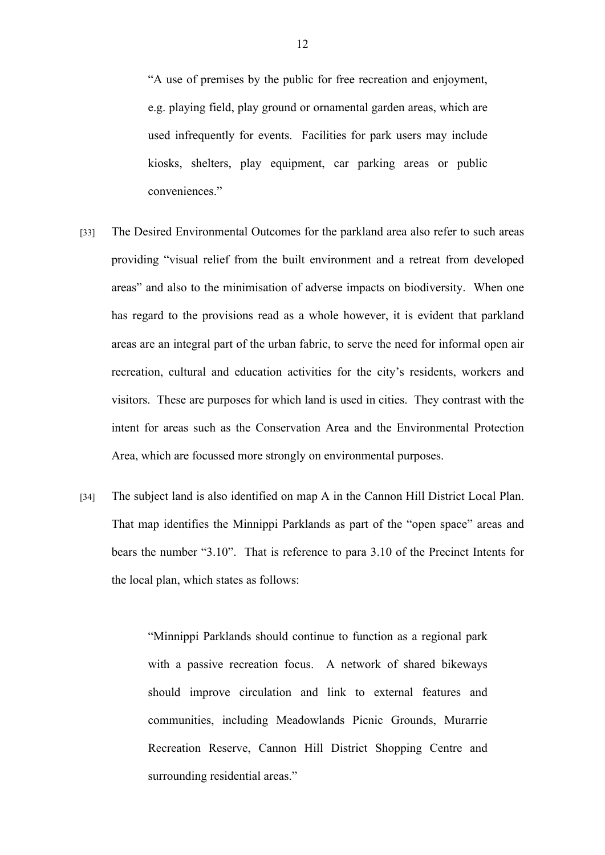"A use of premises by the public for free recreation and enjoyment, e.g. playing field, play ground or ornamental garden areas, which are used infrequently for events. Facilities for park users may include kiosks, shelters, play equipment, car parking areas or public conveniences."

- [33] The Desired Environmental Outcomes for the parkland area also refer to such areas providing "visual relief from the built environment and a retreat from developed areas" and also to the minimisation of adverse impacts on biodiversity. When one has regard to the provisions read as a whole however, it is evident that parkland areas are an integral part of the urban fabric, to serve the need for informal open air recreation, cultural and education activities for the city's residents, workers and visitors. These are purposes for which land is used in cities. They contrast with the intent for areas such as the Conservation Area and the Environmental Protection Area, which are focussed more strongly on environmental purposes.
- [34] The subject land is also identified on map A in the Cannon Hill District Local Plan. That map identifies the Minnippi Parklands as part of the "open space" areas and bears the number "3.10". That is reference to para 3.10 of the Precinct Intents for the local plan, which states as follows:

"Minnippi Parklands should continue to function as a regional park with a passive recreation focus. A network of shared bikeways should improve circulation and link to external features and communities, including Meadowlands Picnic Grounds, Murarrie Recreation Reserve, Cannon Hill District Shopping Centre and surrounding residential areas."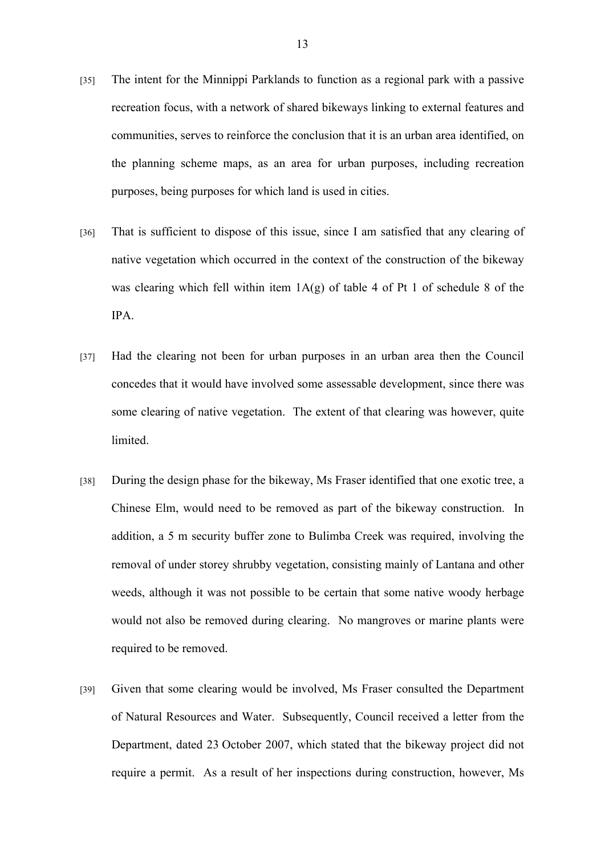- [35] The intent for the Minnippi Parklands to function as a regional park with a passive recreation focus, with a network of shared bikeways linking to external features and communities, serves to reinforce the conclusion that it is an urban area identified, on the planning scheme maps, as an area for urban purposes, including recreation purposes, being purposes for which land is used in cities.
- [36] That is sufficient to dispose of this issue, since I am satisfied that any clearing of native vegetation which occurred in the context of the construction of the bikeway was clearing which fell within item  $1A(g)$  of table 4 of Pt 1 of schedule 8 of the IPA.
- [37] Had the clearing not been for urban purposes in an urban area then the Council concedes that it would have involved some assessable development, since there was some clearing of native vegetation. The extent of that clearing was however, quite limited.
- [38] During the design phase for the bikeway, Ms Fraser identified that one exotic tree, a Chinese Elm, would need to be removed as part of the bikeway construction. In addition, a 5 m security buffer zone to Bulimba Creek was required, involving the removal of under storey shrubby vegetation, consisting mainly of Lantana and other weeds, although it was not possible to be certain that some native woody herbage would not also be removed during clearing. No mangroves or marine plants were required to be removed.
- [39] Given that some clearing would be involved, Ms Fraser consulted the Department of Natural Resources and Water. Subsequently, Council received a letter from the Department, dated 23 October 2007, which stated that the bikeway project did not require a permit. As a result of her inspections during construction, however, Ms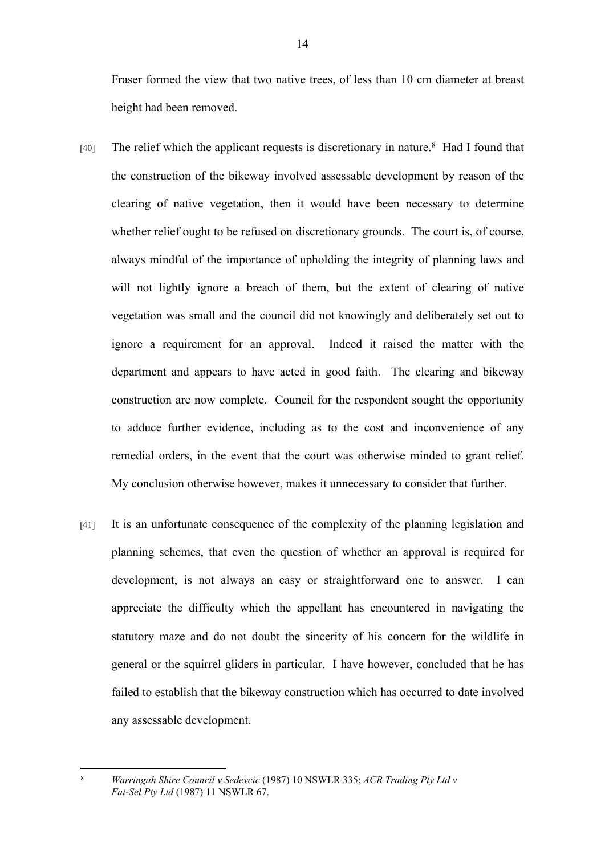Fraser formed the view that two native trees, of less than 10 cm diameter at breast height had been removed.

- [40] The relief which the applicant requests is discretionary in nature.<sup>8</sup> Had I found that the construction of the bikeway involved assessable development by reason of the clearing of native vegetation, then it would have been necessary to determine whether relief ought to be refused on discretionary grounds. The court is, of course, always mindful of the importance of upholding the integrity of planning laws and will not lightly ignore a breach of them, but the extent of clearing of native vegetation was small and the council did not knowingly and deliberately set out to ignore a requirement for an approval. Indeed it raised the matter with the department and appears to have acted in good faith. The clearing and bikeway construction are now complete. Council for the respondent sought the opportunity to adduce further evidence, including as to the cost and inconvenience of any remedial orders, in the event that the court was otherwise minded to grant relief. My conclusion otherwise however, makes it unnecessary to consider that further.
- [41] It is an unfortunate consequence of the complexity of the planning legislation and planning schemes, that even the question of whether an approval is required for development, is not always an easy or straightforward one to answer. I can appreciate the difficulty which the appellant has encountered in navigating the statutory maze and do not doubt the sincerity of his concern for the wildlife in general or the squirrel gliders in particular. I have however, concluded that he has failed to establish that the bikeway construction which has occurred to date involved any assessable development.

<sup>8</sup> *Warringah Shire Council v Sedevcic* (1987) 10 NSWLR 335; *ACR Trading Pty Ltd v Fat-Sel Pty Ltd* (1987) 11 NSWLR 67.